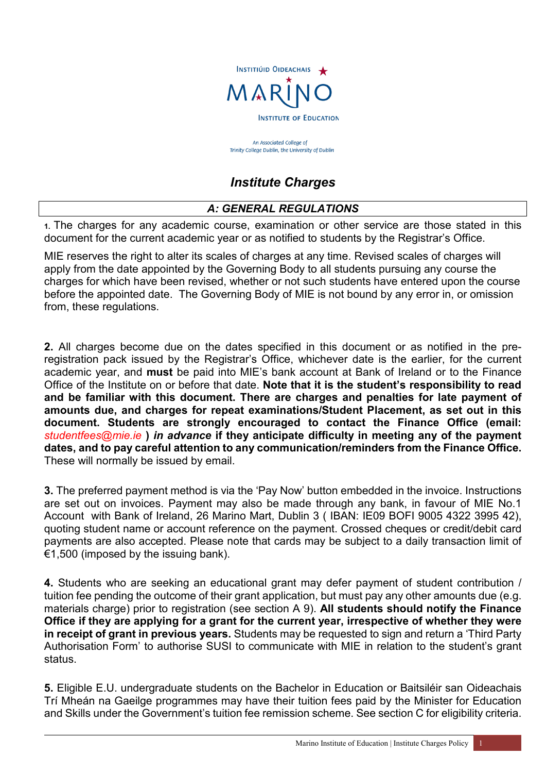

An Associated College of Trinity College Dublin, the University of Dublin

# *Institute Charges*

# *A: GENERAL REGULATIONS*

**1.** The charges for any academic course, examination or other service are those stated in this document for the current academic year or as notified to students by the Registrar's Office.

MIE reserves the right to alter its scales of charges at any time. Revised scales of charges will apply from the date appointed by the Governing Body to all students pursuing any course the charges for which have been revised, whether or not such students have entered upon the course before the appointed date.The Governing Body of MIE is not bound by any error in, or omission from, these regulations.

**2.** All charges become due on the dates specified in this document or as notified in the preregistration pack issued by the Registrar's Office, whichever date is the earlier, for the current academic year, and **must** be paid into MIE's bank account at Bank of Ireland or to the Finance Office of the Institute on or before that date. **Note that it is the student's responsibility to read and be familiar with this document. There are charges and penalties for late payment of amounts due, and charges for repeat examinations/Student Placement, as set out in this document. Students are strongly encouraged to contact the Finance Office (email:**  *studentfees@mie.ie* **)** *in advance* **if they anticipate difficulty in meeting any of the payment dates, and to pay careful attention to any communication/reminders from the Finance Office.** These will normally be issued by email.

**3.** The preferred payment method is via the 'Pay Now' button embedded in the invoice. Instructions are set out on invoices. Payment may also be made through any bank, in favour of MIE No.1 Account with Bank of Ireland, 26 Marino Mart, Dublin 3 ( IBAN: IE09 BOFI 9005 4322 3995 42), quoting student name or account reference on the payment. Crossed cheques or credit/debit card payments are also accepted. Please note that cards may be subject to a daily transaction limit of  $€1,500$  (imposed by the issuing bank).

**4.** Students who are seeking an educational grant may defer payment of student contribution / tuition fee pending the outcome of their grant application, but must pay any other amounts due (e.g. materials charge) prior to registration (see section A 9). **All students should notify the Finance Office if they are applying for a grant for the current year, irrespective of whether they were in receipt of grant in previous years.** Students may be requested to sign and return a 'Third Party Authorisation Form' to authorise SUSI to communicate with MIE in relation to the student's grant status.

**5.** Eligible E.U. undergraduate students on the Bachelor in Education or Baitsiléir san Oideachais Trí Mheán na Gaeilge programmes may have their tuition fees paid by the Minister for Education and Skills under the Government's tuition fee remission scheme. See section C for eligibility criteria.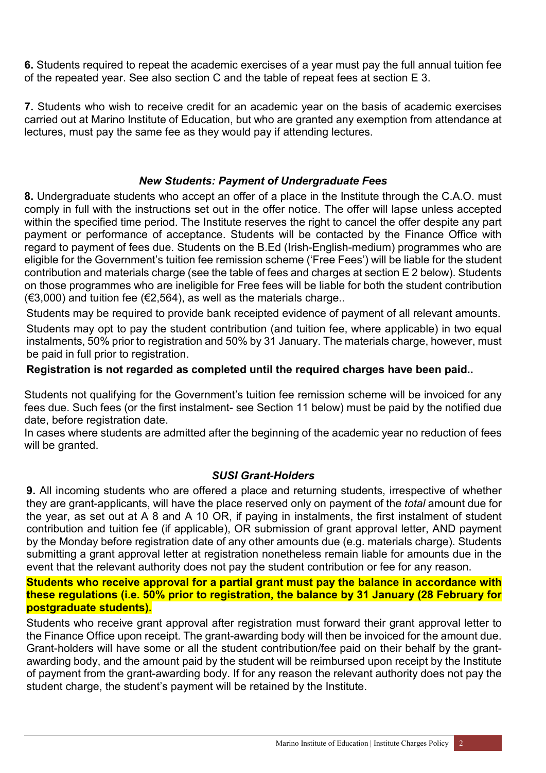**6.** Students required to repeat the academic exercises of a year must pay the full annual tuition fee of the repeated year. See also section C and the table of repeat fees at section E 3.

**7.** Students who wish to receive credit for an academic year on the basis of academic exercises carried out at Marino Institute of Education, but who are granted any exemption from attendance at lectures, must pay the same fee as they would pay if attending lectures.

#### *New Students: Payment of Undergraduate Fees*

**8.** Undergraduate students who accept an offer of a place in the Institute through the C.A.O. must comply in full with the instructions set out in the offer notice. The offer will lapse unless accepted within the specified time period. The Institute reserves the right to cancel the offer despite any part payment or performance of acceptance. Students will be contacted by the Finance Office with regard to payment of fees due. Students on the B.Ed (Irish-English-medium) programmes who are eligible for the Government's tuition fee remission scheme ('Free Fees') will be liable for the student contribution and materials charge (see the table of fees and charges at section E 2 below). Students on those programmes who are ineligible for Free fees will be liable for both the student contribution (€3,000) and tuition fee (€2,564), as well as the materials charge..

Students may be required to provide bank receipted evidence of payment of all relevant amounts.

Students may opt to pay the student contribution (and tuition fee, where applicable) in two equal instalments, 50% prior to registration and 50% by 31 January. The materials charge, however, must be paid in full prior to registration.

## **Registration is not regarded as completed until the required charges have been paid..**

Students not qualifying for the Government's tuition fee remission scheme will be invoiced for any fees due. Such fees (or the first instalment- see Section 11 below) must be paid by the notified due date, before registration date.

In cases where students are admitted after the beginning of the academic year no reduction of fees will be granted.

## *SUSI Grant-Holders*

**9.** All incoming students who are offered a place and returning students, irrespective of whether they are grant-applicants, will have the place reserved only on payment of the *total* amount due for the year, as set out at A 8 and A 10 OR, if paying in instalments, the first instalment of student contribution and tuition fee (if applicable), OR submission of grant approval letter, AND payment by the Monday before registration date of any other amounts due (e.g. materials charge). Students submitting a grant approval letter at registration nonetheless remain liable for amounts due in the event that the relevant authority does not pay the student contribution or fee for any reason.

#### **Students who receive approval for a partial grant must pay the balance in accordance with these regulations (i.e. 50% prior to registration, the balance by 31 January (28 February for postgraduate students).**

Students who receive grant approval after registration must forward their grant approval letter to the Finance Office upon receipt. The grant-awarding body will then be invoiced for the amount due. Grant-holders will have some or all the student contribution/fee paid on their behalf by the grantawarding body, and the amount paid by the student will be reimbursed upon receipt by the Institute of payment from the grant-awarding body. If for any reason the relevant authority does not pay the student charge, the student's payment will be retained by the Institute.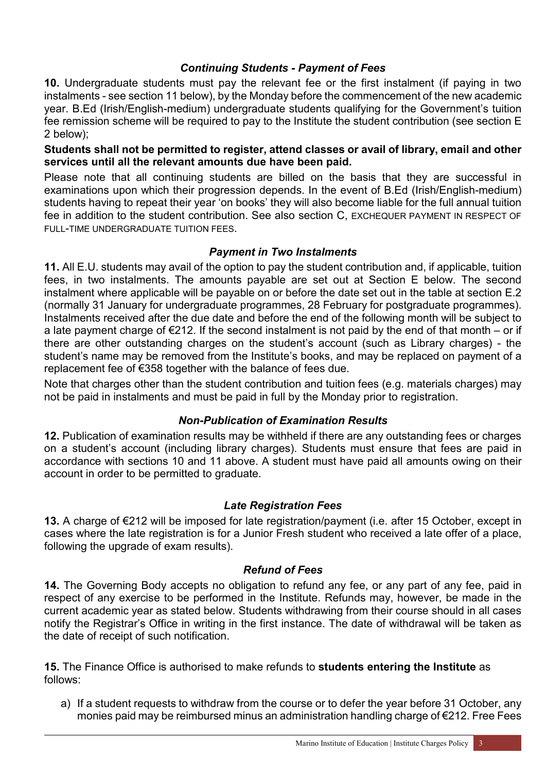## *Continuing Students - Payment of Fees*

**10.** Undergraduate students must pay the relevant fee or the first instalment (if paying in two instalments - see section 11 below), by the Monday before the commencement of the new academic year. B.Ed (Irish/English-medium) undergraduate students qualifying for the Government's tuition fee remission scheme will be required to pay to the Institute the student contribution (see section E 2 below);

**Students shall not be permitted to register, attend classes or avail of library, email and other services until all the relevant amounts due have been paid.**

Please note that all continuing students are billed on the basis that they are successful in examinations upon which their progression depends. In the event of B.Ed (Irish/English-medium) students having to repeat their year 'on books' they will also become liable for the full annual tuition fee in addition to the student contribution. See also section C, EXCHEQUER PAYMENT IN RESPECT OF FULL-TIME UNDERGRADUATE TUITION FEES.

# *Payment in Two Instalments*

**11.** All E.U. students may avail of the option to pay the student contribution and, if applicable, tuition fees, in two instalments. The amounts payable are set out at Section E below. The second instalment where applicable will be payable on or before the date set out in the table at section E.2 (normally 31 January for undergraduate programmes, 28 February for postgraduate programmes). Instalments received after the due date and before the end of the following month will be subject to a late payment charge of €212. If the second instalment is not paid by the end of that month – or if there are other outstanding charges on the student's account (such as Library charges) - the student's name may be removed from the Institute's books, and may be replaced on payment of a replacement fee of €358 together with the balance of fees due.

Note that charges other than the student contribution and tuition fees (e.g. materials charges) may not be paid in instalments and must be paid in full by the Monday prior to registration.

## *Non-Publication of Examination Results*

**12.** Publication of examination results may be withheld if there are any outstanding fees or charges on a student's account (including library charges). Students must ensure that fees are paid in accordance with sections 10 and 11 above. A student must have paid all amounts owing on their account in order to be permitted to graduate.

## *Late Registration Fees*

**13.** A charge of €212 will be imposed for late registration/payment (i.e. after 15 October, except in cases where the late registration is for a Junior Fresh student who received a late offer of a place, following the upgrade of exam results).

## *Refund of Fees*

**14.** The Governing Body accepts no obligation to refund any fee, or any part of any fee, paid in respect of any exercise to be performed in the Institute. Refunds may, however, be made in the current academic year as stated below. Students withdrawing from their course should in all cases notify the Registrar's Office in writing in the first instance. The date of withdrawal will be taken as the date of receipt of such notification.

**15.** The Finance Office is authorised to make refunds to **students entering the Institute** as follows:

a) If a student requests to withdraw from the course or to defer the year before 31 October, any monies paid may be reimbursed minus an administration handling charge of €212. Free Fees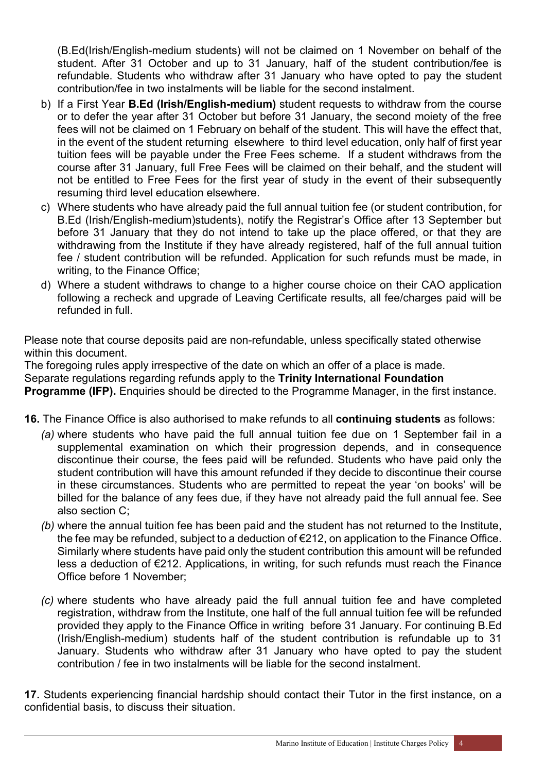(B.Ed(Irish/English-medium students) will not be claimed on 1 November on behalf of the student. After 31 October and up to 31 January, half of the student contribution/fee is refundable. Students who withdraw after 31 January who have opted to pay the student contribution/fee in two instalments will be liable for the second instalment.

- b) If a First Year **B.Ed (Irish/English-medium)** student requests to withdraw from the course or to defer the year after 31 October but before 31 January, the second moiety of the free fees will not be claimed on 1 February on behalf of the student. This will have the effect that, in the event of the student returning elsewhere to third level education, only half of first year tuition fees will be payable under the Free Fees scheme. If a student withdraws from the course after 31 January, full Free Fees will be claimed on their behalf, and the student will not be entitled to Free Fees for the first year of study in the event of their subsequently resuming third level education elsewhere.
- c) Where students who have already paid the full annual tuition fee (or student contribution, for B.Ed (Irish/English-medium)students), notify the Registrar's Office after 13 September but before 31 January that they do not intend to take up the place offered, or that they are withdrawing from the Institute if they have already registered, half of the full annual tuition fee / student contribution will be refunded. Application for such refunds must be made, in writing, to the Finance Office;
- d) Where a student withdraws to change to a higher course choice on their CAO application following a recheck and upgrade of Leaving Certificate results, all fee/charges paid will be refunded in full.

Please note that course deposits paid are non-refundable, unless specifically stated otherwise within this document.

The foregoing rules apply irrespective of the date on which an offer of a place is made. Separate regulations regarding refunds apply to the **Trinity International Foundation** 

**Programme (IFP).** Enquiries should be directed to the Programme Manager, in the first instance.

- **16.** The Finance Office is also authorised to make refunds to all **continuing students** as follows:
	- *(a)* where students who have paid the full annual tuition fee due on 1 September fail in a supplemental examination on which their progression depends, and in consequence discontinue their course, the fees paid will be refunded. Students who have paid only the student contribution will have this amount refunded if they decide to discontinue their course in these circumstances. Students who are permitted to repeat the year 'on books' will be billed for the balance of any fees due, if they have not already paid the full annual fee. See also section C;
	- *(b)* where the annual tuition fee has been paid and the student has not returned to the Institute, the fee may be refunded, subject to a deduction of €212, on application to the Finance Office. Similarly where students have paid only the student contribution this amount will be refunded less a deduction of €212. Applications, in writing, for such refunds must reach the Finance Office before 1 November;
	- *(c)* where students who have already paid the full annual tuition fee and have completed registration, withdraw from the Institute, one half of the full annual tuition fee will be refunded provided they apply to the Finance Office in writing before 31 January. For continuing B.Ed (Irish/English-medium) students half of the student contribution is refundable up to 31 January. Students who withdraw after 31 January who have opted to pay the student contribution / fee in two instalments will be liable for the second instalment.

**17.** Students experiencing financial hardship should contact their Tutor in the first instance, on a confidential basis, to discuss their situation.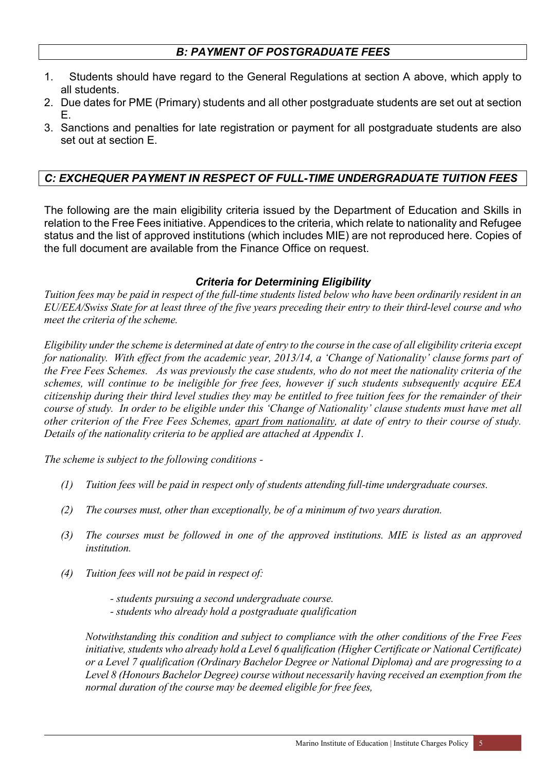# *B: PAYMENT OF POSTGRADUATE FEES*

- 1. Students should have regard to the General Regulations at section A above, which apply to all students.
- 2. Due dates for PME (Primary) students and all other postgraduate students are set out at section E.
- 3. Sanctions and penalties for late registration or payment for all postgraduate students are also set out at section E.

# *C: EXCHEQUER PAYMENT IN RESPECT OF FULL-TIME UNDERGRADUATE TUITION FEES*

The following are the main eligibility criteria issued by the Department of Education and Skills in relation to the Free Fees initiative. Appendices to the criteria, which relate to nationality and Refugee status and the list of approved institutions (which includes MIE) are not reproduced here. Copies of the full document are available from the Finance Office on request.

#### *Criteria for Determining Eligibility*

*Tuition fees may be paid in respect of the full-time students listed below who have been ordinarily resident in an EU/EEA/Swiss State for at least three of the five years preceding their entry to their third-level course and who meet the criteria of the scheme.* 

*Eligibility under the scheme is determined at date of entry to the course in the case of all eligibility criteria except for nationality. With effect from the academic year, 2013/14, a 'Change of Nationality' clause forms part of the Free Fees Schemes. As was previously the case students, who do not meet the nationality criteria of the schemes, will continue to be ineligible for free fees, however if such students subsequently acquire EEA citizenship during their third level studies they may be entitled to free tuition fees for the remainder of their course of study. In order to be eligible under this 'Change of Nationality' clause students must have met all other criterion of the Free Fees Schemes, apart from nationality, at date of entry to their course of study. Details of the nationality criteria to be applied are attached at Appendix 1.* 

*The scheme is subject to the following conditions -*

- *(1) Tuition fees will be paid in respect only of students attending full-time undergraduate courses.*
- *(2) The courses must, other than exceptionally, be of a minimum of two years duration.*
- *(3) The courses must be followed in one of the approved institutions. MIE is listed as an approved institution.*
- *(4) Tuition fees will not be paid in respect of:*

*- students pursuing a second undergraduate course. - students who already hold a postgraduate qualification*

*Notwithstanding this condition and subject to compliance with the other conditions of the Free Fees initiative, students who already hold a Level 6 qualification (Higher Certificate or National Certificate) or a Level 7 qualification (Ordinary Bachelor Degree or National Diploma) and are progressing to a Level 8 (Honours Bachelor Degree) course without necessarily having received an exemption from the normal duration of the course may be deemed eligible for free fees,*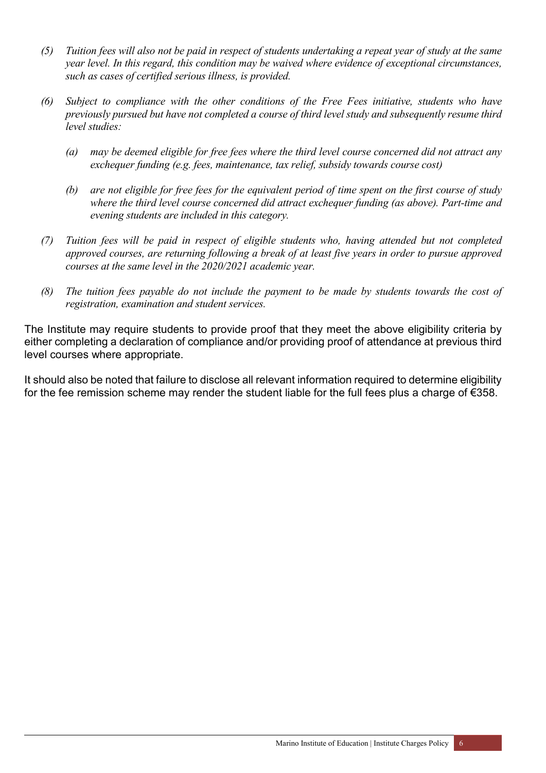- *(5) Tuition fees will also not be paid in respect of students undertaking a repeat year of study at the same year level. In this regard, this condition may be waived where evidence of exceptional circumstances, such as cases of certified serious illness, is provided.*
- *(6) Subject to compliance with the other conditions of the Free Fees initiative, students who have previously pursued but have not completed a course of third level study and subsequently resume third level studies:*
	- *(a) may be deemed eligible for free fees where the third level course concerned did not attract any exchequer funding (e.g. fees, maintenance, tax relief, subsidy towards course cost)*
	- *(b) are not eligible for free fees for the equivalent period of time spent on the first course of study where the third level course concerned did attract exchequer funding (as above). Part-time and evening students are included in this category.*
- *(7) Tuition fees will be paid in respect of eligible students who, having attended but not completed approved courses, are returning following a break of at least five years in order to pursue approved courses at the same level in the 2020/2021 academic year.*
- *(8) The tuition fees payable do not include the payment to be made by students towards the cost of registration, examination and student services.*

The Institute may require students to provide proof that they meet the above eligibility criteria by either completing a declaration of compliance and/or providing proof of attendance at previous third level courses where appropriate.

It should also be noted that failure to disclose all relevant information required to determine eligibility for the fee remission scheme may render the student liable for the full fees plus a charge of €358.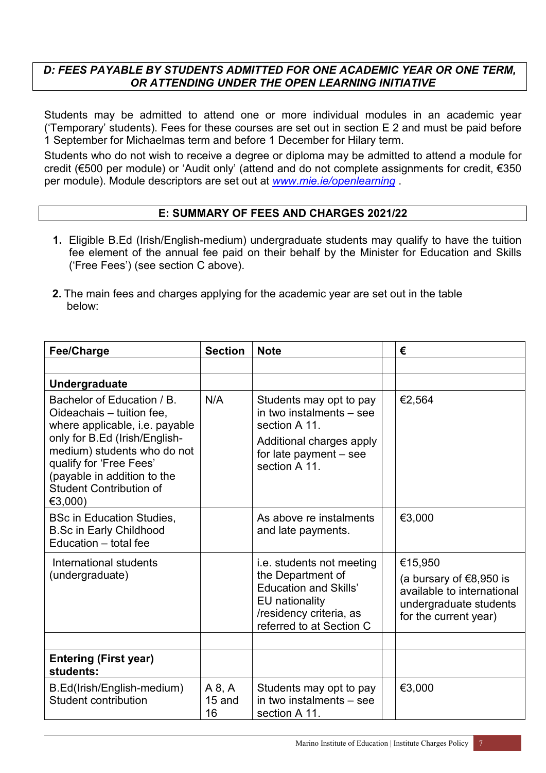#### *D: FEES PAYABLE BY STUDENTS ADMITTED FOR ONE ACADEMIC YEAR OR ONE TERM, OR ATTENDING UNDER THE OPEN LEARNING INITIATIVE*

Students may be admitted to attend one or more individual modules in an academic year ('Temporary' students). Fees for these courses are set out in section E 2 and must be paid before 1 September for Michaelmas term and before 1 December for Hilary term.

Students who do not wish to receive a degree or diploma may be admitted to attend a module for credit (€500 per module) or 'Audit only' (attend and do not complete assignments for credit, €350 per module). Module descriptors are set out at *[www.mie.ie/openlearning](http://www.mie.ie/openlearning)* .

#### **E: SUMMARY OF FEES AND CHARGES 2021/22**

- **1.** Eligible B.Ed (Irish/English-medium) undergraduate students may qualify to have the tuition fee element of the annual fee paid on their behalf by the Minister for Education and Skills ('Free Fees') (see section C above).
- **2.** The main fees and charges applying for the academic year are set out in the table below:

| <b>Fee/Charge</b>                                                                                                                                                                                                                                                | <b>Section</b>         | <b>Note</b>                                                                                                                                             | €                                                                                                                   |
|------------------------------------------------------------------------------------------------------------------------------------------------------------------------------------------------------------------------------------------------------------------|------------------------|---------------------------------------------------------------------------------------------------------------------------------------------------------|---------------------------------------------------------------------------------------------------------------------|
|                                                                                                                                                                                                                                                                  |                        |                                                                                                                                                         |                                                                                                                     |
| <b>Undergraduate</b>                                                                                                                                                                                                                                             |                        |                                                                                                                                                         |                                                                                                                     |
| Bachelor of Education / B.<br>Oideachais - tuition fee,<br>where applicable, i.e. payable<br>only for B.Ed (Irish/English-<br>medium) students who do not<br>qualify for 'Free Fees'<br>(payable in addition to the<br><b>Student Contribution of</b><br>€3,000) | N/A                    | Students may opt to pay<br>in two instalments - see<br>section A 11.<br>Additional charges apply<br>for late payment - see<br>section A 11.             | €2,564                                                                                                              |
| <b>BSc in Education Studies,</b><br><b>B.Sc in Early Childhood</b><br>Education - total fee                                                                                                                                                                      |                        | As above re instalments<br>and late payments.                                                                                                           | €3,000                                                                                                              |
| International students<br>(undergraduate)                                                                                                                                                                                                                        |                        | i.e. students not meeting<br>the Department of<br><b>Education and Skills'</b><br>EU nationality<br>/residency criteria, as<br>referred to at Section C | €15,950<br>(a bursary of €8,950 is<br>available to international<br>undergraduate students<br>for the current year) |
|                                                                                                                                                                                                                                                                  |                        |                                                                                                                                                         |                                                                                                                     |
| <b>Entering (First year)</b><br>students:                                                                                                                                                                                                                        |                        |                                                                                                                                                         |                                                                                                                     |
| B.Ed(Irish/English-medium)<br><b>Student contribution</b>                                                                                                                                                                                                        | A 8, A<br>15 and<br>16 | Students may opt to pay<br>in two instalments - see<br>section A 11.                                                                                    | €3,000                                                                                                              |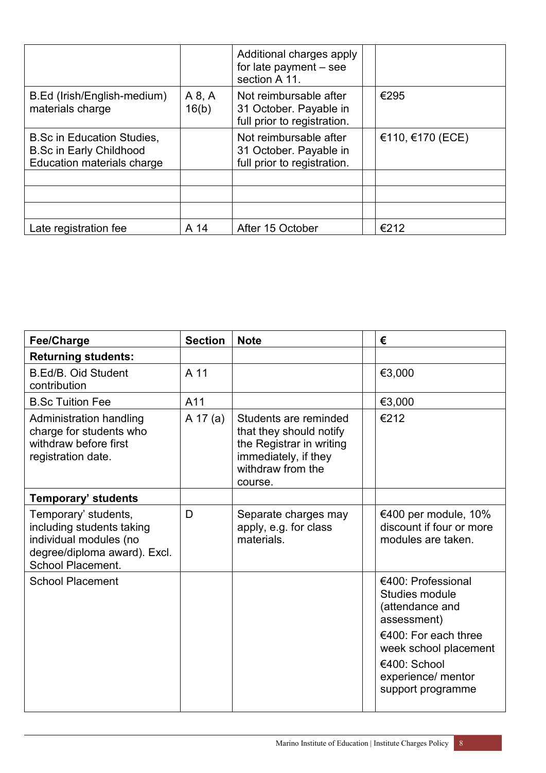|                                                                                                   |                 | Additional charges apply<br>for late payment $-$ see<br>section A 11.           |                  |
|---------------------------------------------------------------------------------------------------|-----------------|---------------------------------------------------------------------------------|------------------|
| B.Ed (Irish/English-medium)<br>materials charge                                                   | A 8, A<br>16(b) | Not reimbursable after<br>31 October. Payable in<br>full prior to registration. | €295             |
| <b>B.Sc in Education Studies,</b><br><b>B.Sc in Early Childhood</b><br>Education materials charge |                 | Not reimbursable after<br>31 October. Payable in<br>full prior to registration. | €110, €170 (ECE) |
|                                                                                                   |                 |                                                                                 |                  |
|                                                                                                   |                 |                                                                                 |                  |
| Late registration fee                                                                             | A 14            | After 15 October                                                                | €212             |

| <b>Fee/Charge</b>                                                                                                                       | <b>Section</b> | <b>Note</b>                                                                                                                          | €                                                                                                                                                                                  |
|-----------------------------------------------------------------------------------------------------------------------------------------|----------------|--------------------------------------------------------------------------------------------------------------------------------------|------------------------------------------------------------------------------------------------------------------------------------------------------------------------------------|
| <b>Returning students:</b>                                                                                                              |                |                                                                                                                                      |                                                                                                                                                                                    |
| <b>B.Ed/B. Oid Student</b><br>contribution                                                                                              | A 11           |                                                                                                                                      | €3,000                                                                                                                                                                             |
| <b>B.Sc Tuition Fee</b>                                                                                                                 | A11            |                                                                                                                                      | €3,000                                                                                                                                                                             |
| Administration handling<br>charge for students who<br>withdraw before first<br>registration date.                                       | A 17 (a)       | Students are reminded<br>that they should notify<br>the Registrar in writing<br>immediately, if they<br>withdraw from the<br>course. | €212                                                                                                                                                                               |
| <b>Temporary' students</b>                                                                                                              |                |                                                                                                                                      |                                                                                                                                                                                    |
| Temporary' students,<br>including students taking<br>individual modules (no<br>degree/diploma award). Excl.<br><b>School Placement.</b> | D              | Separate charges may<br>apply, e.g. for class<br>materials.                                                                          | €400 per module, 10%<br>discount if four or more<br>modules are taken.                                                                                                             |
| <b>School Placement</b>                                                                                                                 |                |                                                                                                                                      | €400: Professional<br>Studies module<br>(attendance and<br>assessment)<br>€400: For each three<br>week school placement<br>€400: School<br>experience/ mentor<br>support programme |
|                                                                                                                                         |                |                                                                                                                                      |                                                                                                                                                                                    |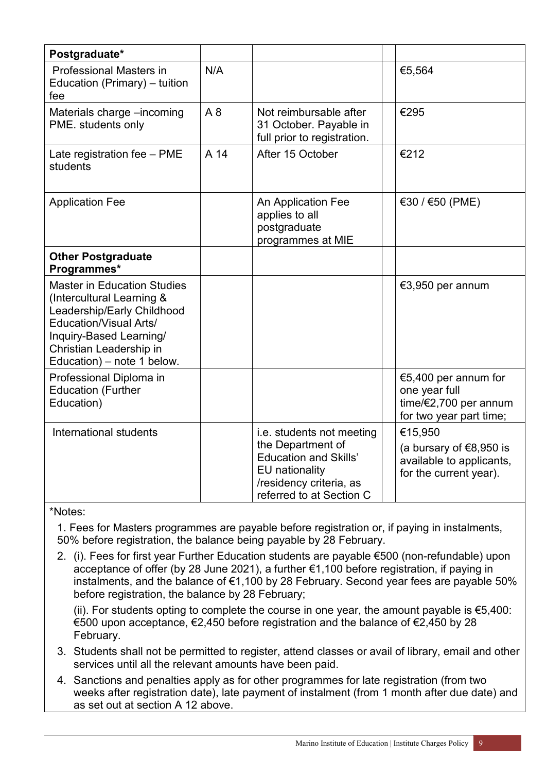| Postgraduate*                                                                                                                                                                                               |      |                                                                                                                            |                                                                                           |
|-------------------------------------------------------------------------------------------------------------------------------------------------------------------------------------------------------------|------|----------------------------------------------------------------------------------------------------------------------------|-------------------------------------------------------------------------------------------|
| <b>Professional Masters in</b><br>Education (Primary) - tuition<br>fee                                                                                                                                      | N/A  |                                                                                                                            | €5,564                                                                                    |
| Materials charge -incoming<br>PME. students only                                                                                                                                                            | A8   | Not reimbursable after<br>31 October. Payable in<br>full prior to registration.                                            | €295                                                                                      |
| Late registration fee - PME<br>students                                                                                                                                                                     | A 14 | After 15 October                                                                                                           | €212                                                                                      |
| <b>Application Fee</b>                                                                                                                                                                                      |      | An Application Fee<br>applies to all<br>postgraduate<br>programmes at MIE                                                  | €30 / €50 (PME)                                                                           |
| <b>Other Postgraduate</b><br>Programmes*                                                                                                                                                                    |      |                                                                                                                            |                                                                                           |
| <b>Master in Education Studies</b><br>(Intercultural Learning &<br>Leadership/Early Childhood<br>Education/Visual Arts/<br>Inquiry-Based Learning/<br>Christian Leadership in<br>Education) – note 1 below. |      |                                                                                                                            | €3,950 per annum                                                                          |
| Professional Diploma in<br><b>Education (Further</b><br>Education)                                                                                                                                          |      |                                                                                                                            | €5,400 per annum for<br>one year full<br>time/€2,700 per annum<br>for two year part time; |
| International students                                                                                                                                                                                      |      | i.e. students not meeting                                                                                                  | €15,950                                                                                   |
|                                                                                                                                                                                                             |      | the Department of<br><b>Education and Skills'</b><br>EU nationality<br>/residency criteria, as<br>referred to at Section C | (a bursary of €8,950 is<br>available to applicants,<br>for the current year).             |

\*Notes:

1. Fees for Masters programmes are payable before registration or, if paying in instalments, 50% before registration, the balance being payable by 28 February.

2. (i). Fees for first year Further Education students are payable €500 (non-refundable) upon acceptance of offer (by 28 June 2021), a further €1,100 before registration, if paying in instalments, and the balance of €1,100 by 28 February. Second year fees are payable 50% before registration, the balance by 28 February;

(ii). For students opting to complete the course in one year, the amount payable is  $\epsilon$ 5,400: €500 upon acceptance, €2,450 before registration and the balance of €2,450 by 28 February.

- 3. Students shall not be permitted to register, attend classes or avail of library, email and other services until all the relevant amounts have been paid.
- 4. Sanctions and penalties apply as for other programmes for late registration (from two weeks after registration date), late payment of instalment (from 1 month after due date) and as set out at section A 12 above.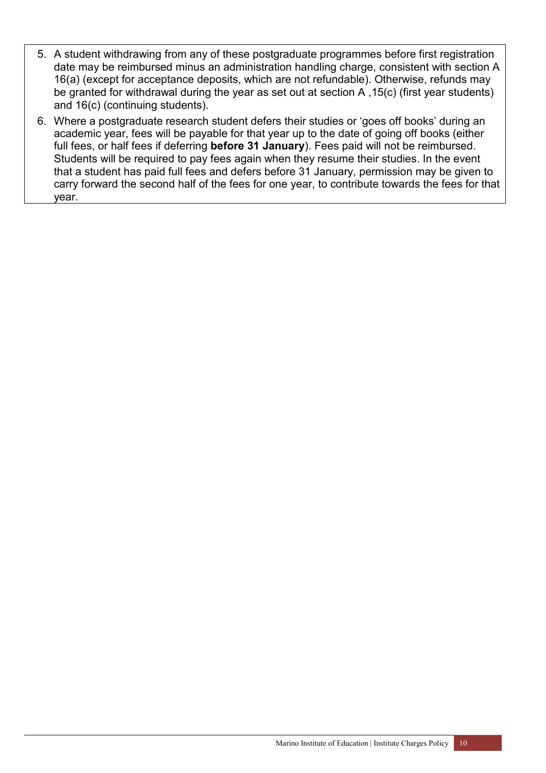- 5. A student withdrawing from any of these postgraduate programmes before first registration date may be reimbursed minus an administration handling charge, consistent with section A 16(a) (except for acceptance deposits, which are not refundable). Otherwise, refunds may be granted for withdrawal during the year as set out at section A ,15(c) (first year students) and 16(c) (continuing students).
- 6. Where a postgraduate research student defers their studies or 'goes off books' during an academic year, fees will be payable for that year up to the date of going off books (either full fees, or half fees if deferring **before 31 January**). Fees paid will not be reimbursed. Students will be required to pay fees again when they resume their studies. In the event that a student has paid full fees and defers before 31 January, permission may be given to carry forward the second half of the fees for one year, to contribute towards the fees for that year.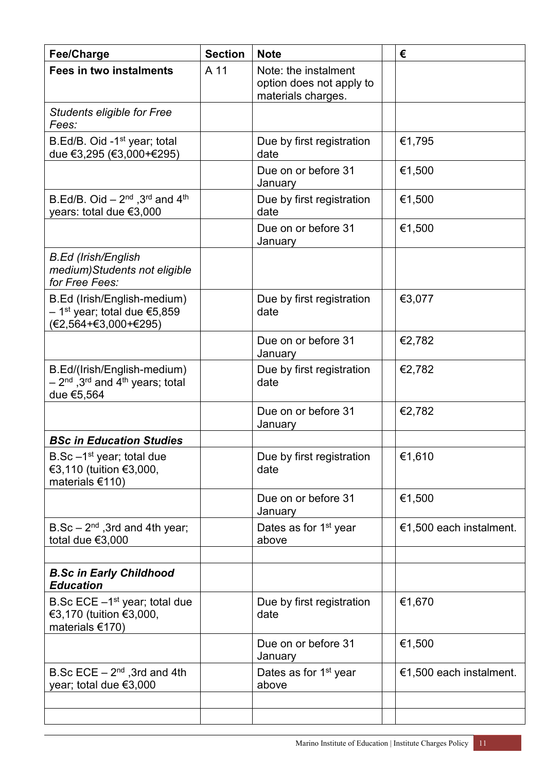| <b>Fee/Charge</b>                                                                                               | <b>Section</b> | <b>Note</b>                                                            | €                       |
|-----------------------------------------------------------------------------------------------------------------|----------------|------------------------------------------------------------------------|-------------------------|
| <b>Fees in two instalments</b>                                                                                  | A 11           | Note: the instalment<br>option does not apply to<br>materials charges. |                         |
| <b>Students eligible for Free</b><br>Fees:                                                                      |                |                                                                        |                         |
| B.Ed/B. Oid -1 <sup>st</sup> year; total<br>due €3,295 (€3,000+€295)                                            |                | Due by first registration<br>date                                      | €1,795                  |
|                                                                                                                 |                | Due on or before 31<br>January                                         | €1,500                  |
| B.Ed/B. Oid $-2^{nd}$ , 3 <sup>rd</sup> and 4 <sup>th</sup><br>years: total due €3,000                          |                | Due by first registration<br>date                                      | €1,500                  |
|                                                                                                                 |                | Due on or before 31<br>January                                         | €1,500                  |
| <b>B.Ed (Irish/English</b><br>medium) Students not eligible<br>for Free Fees:                                   |                |                                                                        |                         |
| B.Ed (Irish/English-medium)<br>– 1 <sup>st</sup> year; total due €5,859<br>(€2,564+€3,000+€295)                 |                | Due by first registration<br>date                                      | €3,077                  |
|                                                                                                                 |                | Due on or before 31<br>January                                         | €2,782                  |
| B.Ed/(Irish/English-medium)<br>$-2^{\text{nd}}$ ,3 <sup>rd</sup> and 4 <sup>th</sup> years; total<br>due €5,564 |                | Due by first registration<br>date                                      | €2,782                  |
|                                                                                                                 |                | Due on or before 31<br>January                                         | €2,782                  |
| <b>BSc in Education Studies</b>                                                                                 |                |                                                                        |                         |
| B.Sc $-1st$ year; total due<br>€3,110 (tuition €3,000,<br>materials €110)                                       |                | Due by first registration<br>date                                      | €1,610                  |
|                                                                                                                 |                | Due on or before 31<br>January                                         | €1,500                  |
| $B.Sc - 2nd$ , 3rd and 4th year;<br>total due $€3,000$                                                          |                | Dates as for 1 <sup>st</sup> year<br>above                             | €1,500 each instalment. |
|                                                                                                                 |                |                                                                        |                         |
| <b>B.Sc in Early Childhood</b><br><b>Education</b>                                                              |                |                                                                        |                         |
| B.Sc ECE $-1st$ year; total due<br>€3,170 (tuition €3,000,<br>materials $€170)$                                 |                | Due by first registration<br>date                                      | €1,670                  |
|                                                                                                                 |                | Due on or before 31<br>January                                         | €1,500                  |
| B.Sc $ECE - 2^{nd}$ , 3rd and 4th<br>year; total due €3,000                                                     |                | Dates as for 1 <sup>st</sup> year<br>above                             | €1,500 each instalment. |
|                                                                                                                 |                |                                                                        |                         |
|                                                                                                                 |                |                                                                        |                         |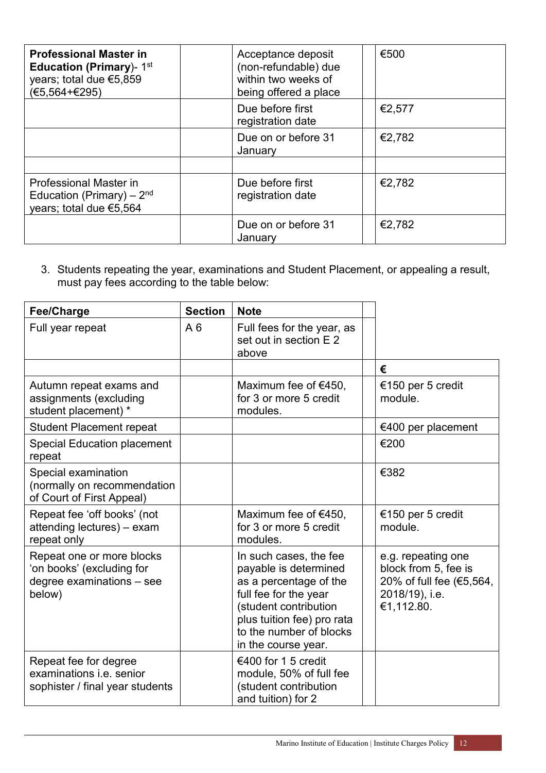| <b>Professional Master in</b><br><b>Education (Primary)-</b> $1st$<br>years; total due €5,859<br>$(E5, 564 + E295)$ | Acceptance deposit<br>(non-refundable) due<br>within two weeks of<br>being offered a place | €500   |
|---------------------------------------------------------------------------------------------------------------------|--------------------------------------------------------------------------------------------|--------|
|                                                                                                                     | Due before first<br>registration date                                                      | €2,577 |
|                                                                                                                     | Due on or before 31<br>January                                                             | €2,782 |
|                                                                                                                     |                                                                                            |        |
| Professional Master in<br>Education (Primary) – $2nd$<br>years; total due €5,564                                    | Due before first<br>registration date                                                      | €2,782 |
|                                                                                                                     | Due on or before 31<br>January                                                             | €2,782 |

3. Students repeating the year, examinations and Student Placement, or appealing a result, must pay fees according to the table below:

| Fee/Charge                                                                                    | <b>Section</b> | <b>Note</b>                                                                                                                                                                                                 |                                                                                                        |
|-----------------------------------------------------------------------------------------------|----------------|-------------------------------------------------------------------------------------------------------------------------------------------------------------------------------------------------------------|--------------------------------------------------------------------------------------------------------|
| Full year repeat                                                                              | A6             | Full fees for the year, as<br>set out in section E 2<br>above                                                                                                                                               |                                                                                                        |
|                                                                                               |                |                                                                                                                                                                                                             | €                                                                                                      |
| Autumn repeat exams and<br>assignments (excluding<br>student placement) *                     |                | Maximum fee of $€450$ ,<br>for 3 or more 5 credit<br>modules.                                                                                                                                               | €150 per 5 credit<br>module.                                                                           |
| <b>Student Placement repeat</b>                                                               |                |                                                                                                                                                                                                             | €400 per placement                                                                                     |
| <b>Special Education placement</b><br>repeat                                                  |                |                                                                                                                                                                                                             | €200                                                                                                   |
| Special examination<br>(normally on recommendation<br>of Court of First Appeal)               |                |                                                                                                                                                                                                             | €382                                                                                                   |
| Repeat fee 'off books' (not<br>attending lectures) - exam<br>repeat only                      |                | Maximum fee of $€450$ ,<br>for 3 or more 5 credit<br>modules.                                                                                                                                               | €150 per 5 credit<br>module.                                                                           |
| Repeat one or more blocks<br>'on books' (excluding for<br>degree examinations - see<br>below) |                | In such cases, the fee<br>payable is determined<br>as a percentage of the<br>full fee for the year<br>(student contribution<br>plus tuition fee) pro rata<br>to the number of blocks<br>in the course year. | e.g. repeating one<br>block from 5, fee is<br>20% of full fee (€5,564,<br>2018/19), i.e.<br>€1,112.80. |
| Repeat fee for degree<br>examinations i.e. senior<br>sophister / final year students          |                | €400 for 1 5 credit<br>module, 50% of full fee<br>(student contribution<br>and tuition) for 2                                                                                                               |                                                                                                        |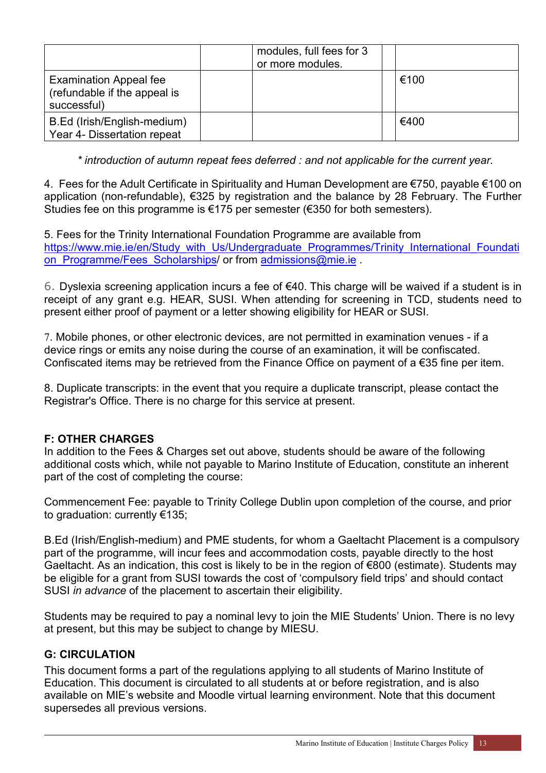|                                                                              | modules, full fees for 3<br>or more modules. |      |
|------------------------------------------------------------------------------|----------------------------------------------|------|
| <b>Examination Appeal fee</b><br>(refundable if the appeal is<br>successful) |                                              | €100 |
| B.Ed (Irish/English-medium)<br>Year 4- Dissertation repeat                   |                                              | €400 |

*\* introduction of autumn repeat fees deferred : and not applicable for the current year.*

4. Fees for the Adult Certificate in Spirituality and Human Development are €750, payable €100 on application (non-refundable), €325 by registration and the balance by 28 February. The Further Studies fee on this programme is  $\epsilon$ 175 per semester ( $\epsilon$ 350 for both semesters).

5. Fees for the Trinity International Foundation Programme are available from [https://www.mie.ie/en/Study\\_with\\_Us/Undergraduate\\_Programmes/Trinity\\_International\\_Foundati](https://www.mie.ie/en/Study_with_Us/Undergraduate_Programmes/Trinity_International_Foundation_Programme/Fees_Scholarships) on Programme/Fees Scholarships/ or from [admissions@mie.ie](mailto:admissions@mie.ie) .

6. Dyslexia screening application incurs a fee of €40. This charge will be waived if a student is in receipt of any grant e.g. HEAR, SUSI. When attending for screening in TCD, students need to present either proof of payment or a letter showing eligibility for HEAR or SUSI.

7. Mobile phones, or other electronic devices, are not permitted in examination venues - if a device rings or emits any noise during the course of an examination, it will be confiscated. Confiscated items may be retrieved from the Finance Office on payment of a €35 fine per item.

8. Duplicate transcripts: in the event that you require a duplicate transcript, please contact the Registrar's Office. There is no charge for this service at present.

## **F: OTHER CHARGES**

In addition to the Fees & Charges set out above, students should be aware of the following additional costs which, while not payable to Marino Institute of Education, constitute an inherent part of the cost of completing the course:

Commencement Fee: payable to Trinity College Dublin upon completion of the course, and prior to graduation: currently €135;

B.Ed (Irish/English-medium) and PME students, for whom a Gaeltacht Placement is a compulsory part of the programme, will incur fees and accommodation costs, payable directly to the host Gaeltacht. As an indication, this cost is likely to be in the region of €800 (estimate). Students may be eligible for a grant from SUSI towards the cost of 'compulsory field trips' and should contact SUSI *in advance* of the placement to ascertain their eligibility.

Students may be required to pay a nominal levy to join the MIE Students' Union. There is no levy at present, but this may be subject to change by MIESU.

#### **G: CIRCULATION**

This document forms a part of the regulations applying to all students of Marino Institute of Education. This document is circulated to all students at or before registration, and is also available on MIE's website and Moodle virtual learning environment. Note that this document supersedes all previous versions.